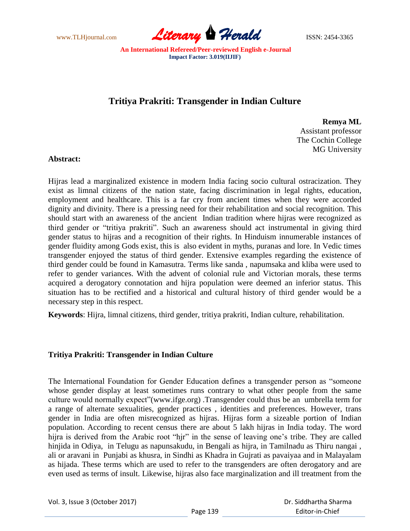

# **Tritiya Prakriti: Transgender in Indian Culture**

**Remya ML** Assistant professor The Cochin College MG University

## **Abstract:**

Hijras lead a marginalized existence in modern India facing socio cultural ostracization. They exist as limnal citizens of the nation state, facing discrimination in legal rights, education, employment and healthcare. This is a far cry from ancient times when they were accorded dignity and divinity. There is a pressing need for their rehabilitation and social recognition. This should start with an awareness of the ancient Indian tradition where hijras were recognized as third gender or "tritiya prakriti". Such an awareness should act instrumental in giving third gender status to hijras and a recognition of their rights. In Hinduism innumerable instances of gender fluidity among Gods exist, this is also evident in myths, puranas and lore. In Vedic times transgender enjoyed the status of third gender. Extensive examples regarding the existence of third gender could be found in Kamasutra. Terms like sanda , napumsaka and kliba were used to refer to gender variances. With the advent of colonial rule and Victorian morals, these terms acquired a derogatory connotation and hijra population were deemed an inferior status. This situation has to be rectified and a historical and cultural history of third gender would be a necessary step in this respect.

**Keywords**: Hijra, limnal citizens, third gender, tritiya prakriti, Indian culture, rehabilitation.

# **Tritiya Prakriti: Transgender in Indian Culture**

The International Foundation for Gender Education defines a transgender person as "someone whose gender display at least sometimes runs contrary to what other people from the same culture would normally expect"(www.ifge.org) .Transgender could thus be an umbrella term for a range of alternate sexualities, gender practices , identities and preferences. However, trans gender in India are often misrecognized as hijras. Hijras form a sizeable portion of Indian population. According to recent census there are about 5 lakh hijras in India today. The word hijra is derived from the Arabic root "hjr" in the sense of leaving one's tribe. They are called hinjida in Odiya, in Telugu as napunsakudu, in Bengali as hijra, in Tamilnadu as Thiru nangai , ali or aravani in Punjabi as khusra, in Sindhi as Khadra in Gujrati as pavaiyaa and in Malayalam as hijada. These terms which are used to refer to the transgenders are often derogatory and are even used as terms of insult. Likewise, hijras also face marginalization and ill treatment from the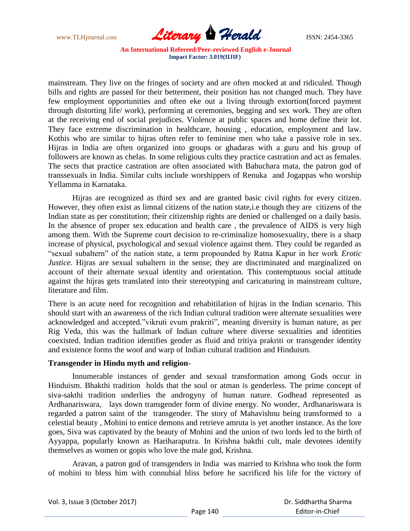

mainstream. They live on the fringes of society and are often mocked at and ridiculed. Though bills and rights are passed for their betterment, their position has not changed much. They have few employment opportunities and often eke out a living through extortion(forced payment through distorting life/ work), performing at ceremonies, begging and sex work. They are often at the receiving end of social prejudices. Violence at public spaces and home define their lot. They face extreme discrimination in healthcare, housing , education, employment and law. Kothis who are similar to hijras often refer to feminine men who take a passive role in sex. Hijras in India are often organized into groups or ghadaras with a guru and his group of followers are known as chelas. In some religious cults they practice castration and act as females. The sects that practice castration are often associated with Bahuchara mata, the patron god of transsexuals in India. Similar cults include worshippers of Renuka and Jogappas who worship Yellamma in Karnataka.

Hijras are recognized as third sex and are granted basic civil rights for every citizen. However, they often exist as limnal citizens of the nation state,i.e though they are citizens of the Indian state as per constitution; their citizenship rights are denied or challenged on a daily basis. In the absence of proper sex education and health care , the prevalence of AIDS is very high among them. With the Supreme court decision to re-criminalize homosexuality, there is a sharp increase of physical, psychological and sexual violence against them. They could be regarded as "sexual subaltern" of the nation state, a term propounded by Ratna Kapur in her work *Erotic Justice*. Hijras are sexual subaltern in the sense; they are discriminated and marginalized on account of their alternate sexual identity and orientation. This contemptuous social attitude against the hijras gets translated into their stereotyping and caricaturing in mainstream culture, literature and film.

There is an acute need for recognition and rehabitilation of hijras in the Indian scenario. This should start with an awareness of the rich Indian cultural tradition were alternate sexualities were acknowledged and accepted."vikruti evum prakriti", meaning diversity is human nature, as per Rig Veda, this was the hallmark of Indian culture where diverse sexualities and identities coexisted. Indian tradition identifies gender as fluid and tritiya prakriti or transgender identity and existence forms the woof and warp of Indian cultural tradition and Hinduism.

#### **Transgender in Hindu myth and religion**-

Innumerable instances of gender and sexual transformation among Gods occur in Hinduism. Bhakthi tradition holds that the soul or atman is genderless. The prime concept of siva-sakthi tradition underlies the androgyny of human nature. Godhead represented as Ardhanariswara, lays down transgender form of divine energy. No wonder, Ardhanariswara is regarded a patron saint of the transgender. The story of Mahavishnu being transformed to a celestial beauty , Mohini to entice demons and retrieve amruta is yet another instance. As the lore goes, Siva was captivated by the beauty of Mohini and the union of two lords led to the birth of Ayyappa, popularly known as Hariharaputra. In Krishna bakthi cult, male devotees identify themselves as women or gopis who love the male god, Krishna.

Aravan, a patron god of transgenders in India was married to Krishna who took the form of mohini to bless him with connubial bliss before he sacrificed his life for the victory of

|  |  | Vol. 3, Issue 3 (October 2017) |  |
|--|--|--------------------------------|--|
|--|--|--------------------------------|--|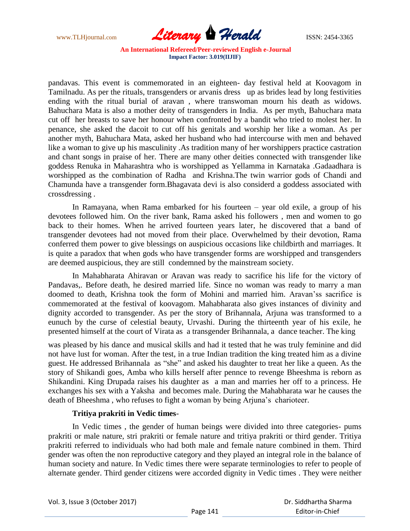www.TLHjournal.com **Literary Herald Herald ISSN: 2454-3365** 

pandavas. This event is commemorated in an eighteen- day festival held at Koovagom in Tamilnadu. As per the rituals, transgenders or arvanis dress up as brides lead by long festivities ending with the ritual burial of aravan , where transwoman mourn his death as widows. Bahuchara Mata is also a mother deity of transgenders in India. As per myth, Bahuchara mata cut off her breasts to save her honour when confronted by a bandit who tried to molest her. In penance, she asked the dacoit to cut off his genitals and worship her like a woman. As per another myth, Bahuchara Mata, asked her husband who had intercourse with men and behaved like a woman to give up his masculinity .As tradition many of her worshippers practice castration and chant songs in praise of her. There are many other deities connected with transgender like goddess Renuka in Maharashtra who is worshipped as Yellamma in Karnataka .Gadaadhara is worshipped as the combination of Radha and Krishna.The twin warrior gods of Chandi and Chamunda have a transgender form.Bhagavata devi is also considerd a goddess associated with crossdressing .

In Ramayana, when Rama embarked for his fourteen – year old exile, a group of his devotees followed him. On the river bank, Rama asked his followers , men and women to go back to their homes. When he arrived fourteen years later, he discovered that a band of transgender devotees had not moved from their place. Overwhelmed by their devotion, Rama conferred them power to give blessings on auspicious occasions like childbirth and marriages. It is quite a paradox that when gods who have transgender forms are worshipped and transgenders are deemed auspicious, they are still condemned by the mainstream society.

In Mahabharata Ahiravan or Aravan was ready to sacrifice his life for the victory of Pandavas,. Before death, he desired married life. Since no woman was ready to marry a man doomed to death, Krishna took the form of Mohini and married him. Aravan'ss sacrifice is commemorated at the festival of koovagom. Mahabharata also gives instances of divinity and dignity accorded to transgender. As per the story of Brihannala, Arjuna was transformed to a eunuch by the curse of celestial beauty, Urvashi. During the thirteenth year of his exile, he presented himself at the court of Virata as a transgender Brihannala, a dance teacher. The king

was pleased by his dance and musical skills and had it tested that he was truly feminine and did not have lust for woman. After the test, in a true Indian tradition the king treated him as a divine guest. He addressed Brihannala as "she" and asked his daughter to treat her like a queen. As the story of Shikandi goes, Amba who kills herself after pennce to revenge Bheeshma is reborn as Shikandini. King Drupada raises his daughter as a man and marries her off to a princess. He exchanges his sex with a Yaksha and becomes male. During the Mahabharata war he causes the death of Bheeshma , who refuses to fight a woman by being Arjuna's charioteer.

## **Tritiya prakriti in Vedic times**-

In Vedic times , the gender of human beings were divided into three categories- pums prakriti or male nature, stri prakriti or female nature and tritiya prakriti or third gender. Tritiya prakriti referred to individuals who had both male and female nature combined in them. Third gender was often the non reproductive category and they played an integral role in the balance of human society and nature. In Vedic times there were separate terminologies to refer to people of alternate gender. Third gender citizens were accorded dignity in Vedic times . They were neither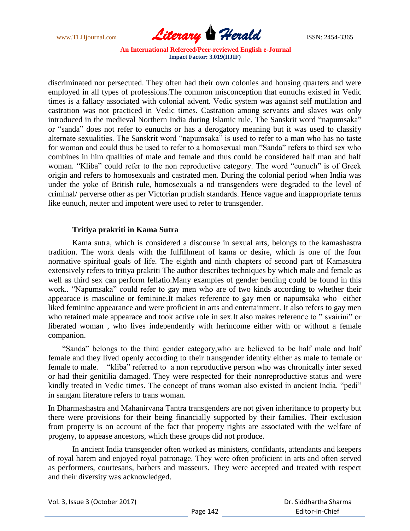

discriminated nor persecuted. They often had their own colonies and housing quarters and were employed in all types of professions.The common misconception that eunuchs existed in Vedic times is a fallacy associated with colonial advent. Vedic system was against self mutilation and castration was not practiced in Vedic times. Castration among servants and slaves was only introduced in the medieval Northern India during Islamic rule. The Sanskrit word "napumsaka" or "sanda" does not refer to eunuchs or has a derogatory meaning but it was used to classify alternate sexualities. The Sanskrit word "napumsaka" is used to refer to a man who has no taste for woman and could thus be used to refer to a homosexual man."Sanda" refers to third sex who combines in him qualities of male and female and thus could be considered half man and half woman. "Kliba" could refer to the non reproductive category. The word "eunuch" is of Greek origin and refers to homosexuals and castrated men. During the colonial period when India was under the yoke of British rule, homosexuals a nd transgenders were degraded to the level of criminal/ perverse other as per Victorian prudish standards. Hence vague and inappropriate terms like eunuch, neuter and impotent were used to refer to transgender.

## **Tritiya prakriti in Kama Sutra**

Kama sutra, which is considered a discourse in sexual arts, belongs to the kamashastra tradition. The work deals with the fulfillment of kama or desire, which is one of the four normative spiritual goals of life. The eighth and ninth chapters of second part of Kamasutra extensively refers to tritiya prakriti The author describes techniques by which male and female as well as third sex can perform fellatio.Many examples of gender bending could be found in this work.. "Napumsaka" could refer to gay men who are of two kinds according to whether their appearace is masculine or feminine.It makes reference to gay men or napumsaka who either liked feminine appearance and were proficient in arts and entertainment. It also refers to gay men who retained male appearace and took active role in sex.It also makes reference to " svairini" or liberated woman , who lives independently with herincome either with or without a female companion.

 "Sanda" belongs to the third gender category,who are believed to be half male and half female and they lived openly according to their transgender identity either as male to female or female to male. "kliba" referred to a non reproductive person who was chronically inter sexed or had their genitilia damaged. They were respected for their nonreproductive status and were kindly treated in Vedic times. The concept of trans woman also existed in ancient India. "pedi" in sangam literature refers to trans woman.

In Dharmashastra and Mahanirvana Tantra transgenders are not given inheritance to property but there were provisions for their being financially supported by their families. Their exclusion from property is on account of the fact that property rights are associated with the welfare of progeny, to appease ancestors, which these groups did not produce.

In ancient India transgender often worked as ministers, confidants, attendants and keepers of royal harem and enjoyed royal patronage. They were often proficient in arts and often served as performers, courtesans, barbers and masseurs. They were accepted and treated with respect and their diversity was acknowledged.